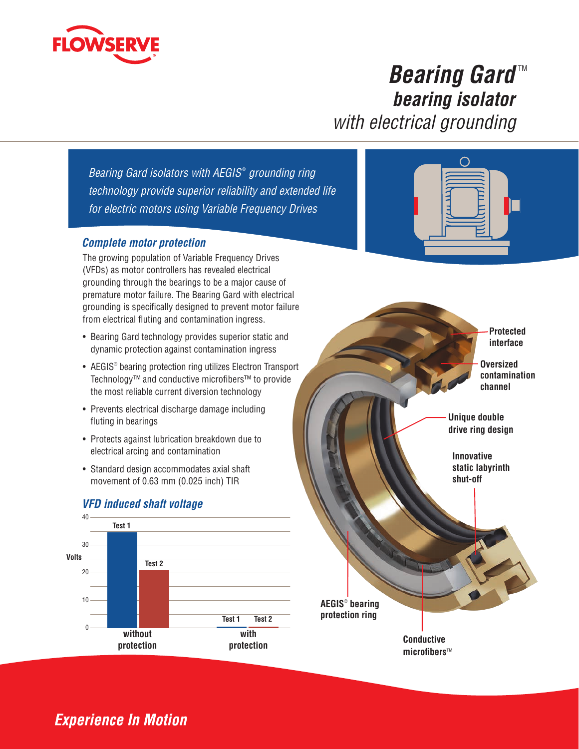

# **Bearing Gard™**  *bearing isolator with electrical grounding*

*Bearing Gard isolators with AEGIS* ®  *grounding ring technology provide superior reliability and extended life for electric motors using Variable Frequency Drives* 

## *Complete motor protection*

The growing population of Variable Frequency Drives (VFDs) as motor controllers has revealed electrical grounding through the bearings to be a major cause of premature motor failure. The Bearing Gard with electrical grounding is specifically designed to prevent motor failure from electrical fluting and contamination ingress.

- Bearing Gard technology provides superior static and dynamic protection against contamination ingress
- AEGIS® bearing protection ring utilizes Electron Transport Technology™ and conductive microfibers™ to provide the most reliable current diversion technology
- Prevents electrical discharge damage including fluting in bearings
- Protects against lubrication breakdown due to electrical arcing and contamination
- Standard design accommodates axial shaft movement of 0.63 mm (0.025 inch) TIR

## *VFD induced shaft voltage*







**Experience In Motion**